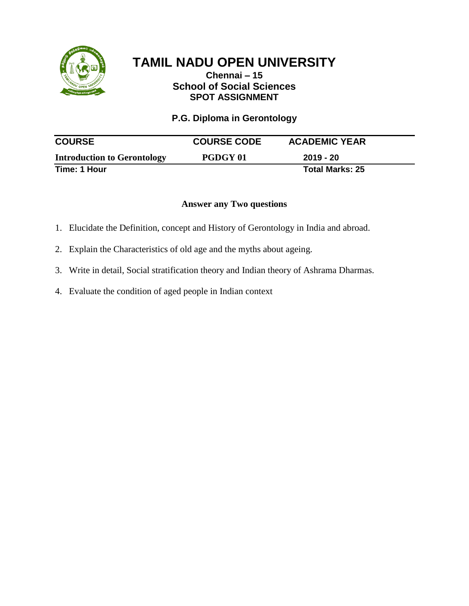

## **Chennai – 15 School of Social Sciences SPOT ASSIGNMENT**

**P.G. Diploma in Gerontology** 

| <b>COURSE</b>                      | <b>COURSE CODE</b> | <b>ACADEMIC YEAR</b>   |  |
|------------------------------------|--------------------|------------------------|--|
| <b>Introduction to Gerontology</b> | <b>PGDGY 01</b>    | 2019 - 20              |  |
| Time: 1 Hour                       |                    | <b>Total Marks: 25</b> |  |

- 1. Elucidate the Definition, concept and History of Gerontology in India and abroad.
- 2. Explain the Characteristics of old age and the myths about ageing.
- 3. Write in detail, Social stratification theory and Indian theory of Ashrama Dharmas.
- 4. Evaluate the condition of aged people in Indian context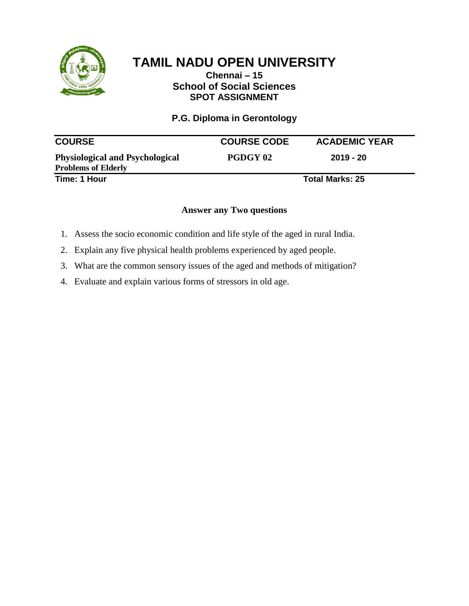

### **Chennai – 15 School of Social Sciences SPOT ASSIGNMENT**

## **P.G. Diploma in Gerontology**

| <b>COURSE</b>                                                        | <b>COURSE CODE</b> | <b>ACADEMIC YEAR</b>   |
|----------------------------------------------------------------------|--------------------|------------------------|
| <b>Physiological and Psychological</b><br><b>Problems of Elderly</b> | PGDGY 02           | $2019 - 20$            |
| Time: 1 Hour                                                         |                    | <b>Total Marks: 25</b> |

- 1. Assess the socio economic condition and life style of the aged in rural India.
- 2. Explain any five physical health problems experienced by aged people.
- 3. What are the common sensory issues of the aged and methods of mitigation?
- 4. Evaluate and explain various forms of stressors in old age.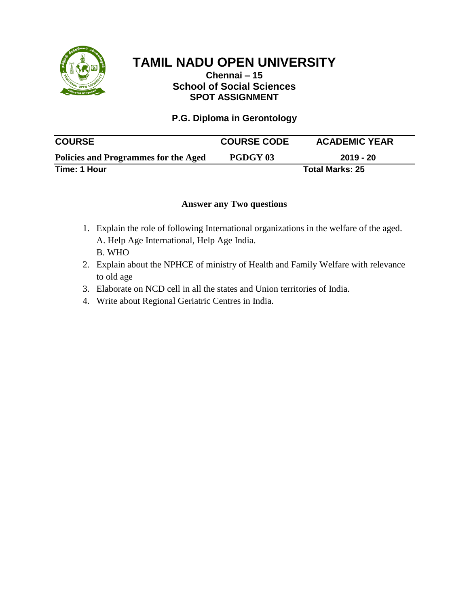

#### **Chennai – 15 School of Social Sciences SPOT ASSIGNMENT**

## **P.G. Diploma in Gerontology**

| <b>COURSE</b>                        | <b>COURSE CODE</b> | <b>ACADEMIC YEAR</b>   |
|--------------------------------------|--------------------|------------------------|
| Policies and Programmes for the Aged | PGDGY 03           | $2019 - 20$            |
| Time: 1 Hour                         |                    | <b>Total Marks: 25</b> |

- 1. Explain the role of following International organizations in the welfare of the aged. A. Help Age International, Help Age India. B. WHO
- 2. Explain about the NPHCE of ministry of Health and Family Welfare with relevance to old age
- 3. Elaborate on NCD cell in all the states and Union territories of India.
- 4. Write about Regional Geriatric Centres in India.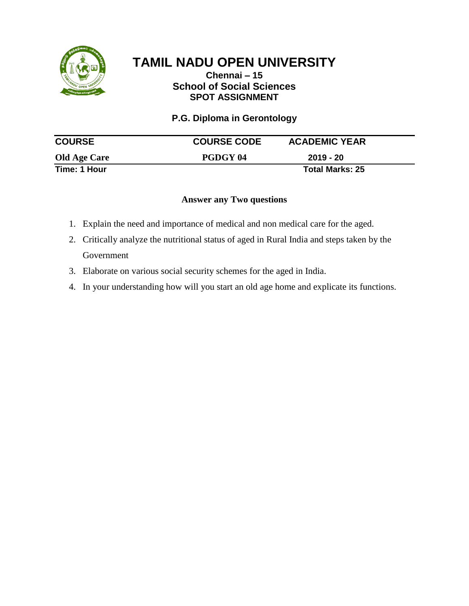

## **Chennai – 15 School of Social Sciences SPOT ASSIGNMENT**

**P.G. Diploma in Gerontology** 

| <b>COURSE</b>       | <b>COURSE CODE</b> | <b>ACADEMIC YEAR</b>   |  |
|---------------------|--------------------|------------------------|--|
| <b>Old Age Care</b> | PGDGY 04           | 2019 - 20              |  |
| Time: 1 Hour        |                    | <b>Total Marks: 25</b> |  |

- 1. Explain the need and importance of medical and non medical care for the aged.
- 2. Critically analyze the nutritional status of aged in Rural India and steps taken by the Government
- 3. Elaborate on various social security schemes for the aged in India.
- 4. In your understanding how will you start an old age home and explicate its functions.